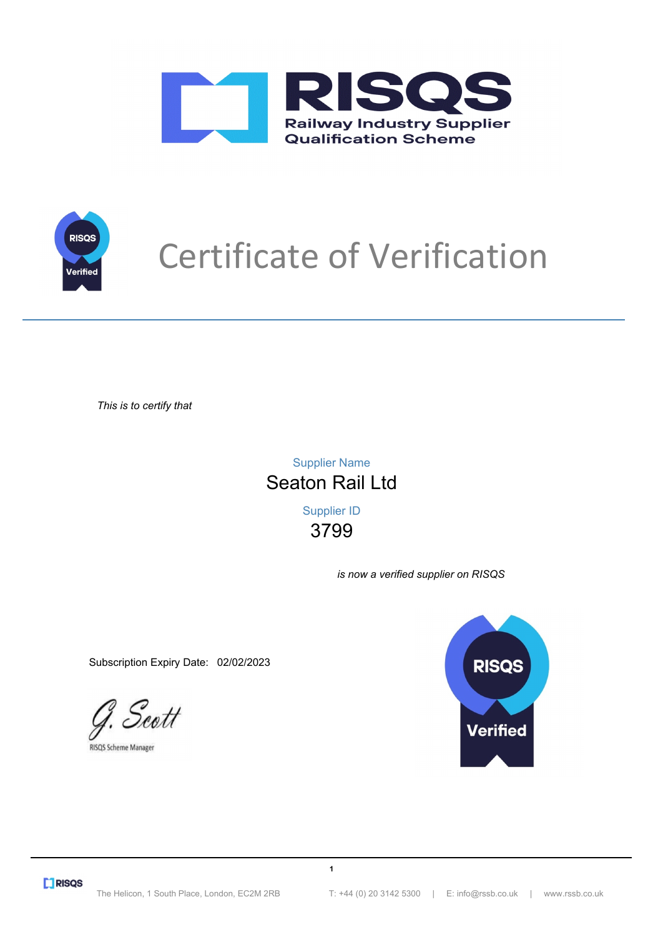



## Certificate of Verification

*This is to certify that*

3799 Supplier ID Seaton Rail Ltd Supplier Name

*is now a verified supplier on RISQS*

Subscription Expiry Date: 02/02/2023

G. Scott

RISQS Scheme Manager